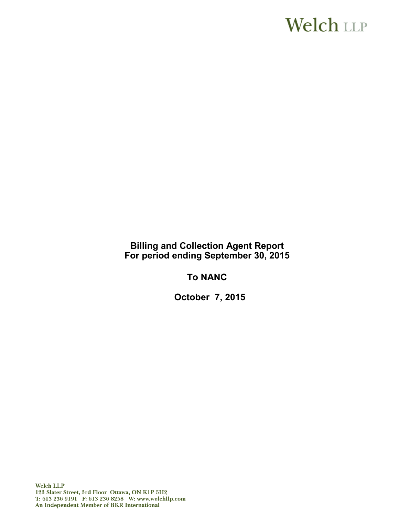# **Welch LLP**

**Billing and Collection Agent Report For period ending September 30, 2015** 

**To NANC**

**October 7, 2015**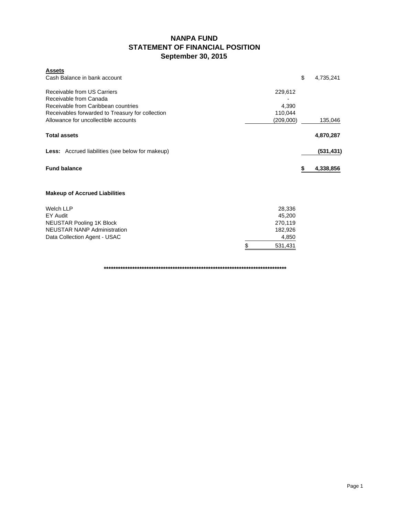### **NANPA FUND STATEMENT OF FINANCIAL POSITION September 30, 2015**

| <b>Assets</b><br>Cash Balance in bank account                                                |                      | \$<br>4,735,241 |
|----------------------------------------------------------------------------------------------|----------------------|-----------------|
| Receivable from US Carriers<br>Receivable from Canada<br>Receivable from Caribbean countries | 229,612<br>4,390     |                 |
| Receivables forwarded to Treasury for collection<br>Allowance for uncollectible accounts     | 110,044<br>(209,000) | 135,046         |
| <b>Total assets</b>                                                                          |                      | 4,870,287       |
| <b>Less:</b> Accrued liabilities (see below for makeup)                                      |                      | (531, 431)      |
| <b>Fund balance</b>                                                                          |                      | 4,338,856<br>\$ |
| <b>Makeup of Accrued Liabilities</b>                                                         |                      |                 |
| <b>Welch LLP</b>                                                                             | 28,336               |                 |
| EY Audit                                                                                     | 45,200               |                 |
| <b>NEUSTAR Pooling 1K Block</b><br><b>NEUSTAR NANP Administration</b>                        | 270,119<br>182,926   |                 |
| Data Collection Agent - USAC                                                                 | 4,850                |                 |
|                                                                                              | 531,431              |                 |
|                                                                                              |                      |                 |

**\*\*\*\*\*\*\*\*\*\*\*\*\*\*\*\*\*\*\*\*\*\*\*\*\*\*\*\*\*\*\*\*\*\*\*\*\*\*\*\*\*\*\*\*\*\*\*\*\*\*\*\*\*\*\*\*\*\*\*\*\*\*\*\*\*\*\*\*\*\*\*\*\*\*\*\*\***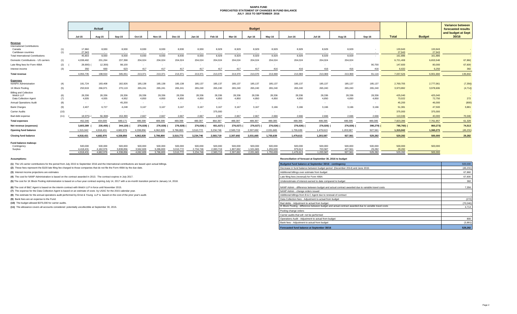#### **NANPA FUND FORECASTED STATEMENT OF CHANGES IN FUND BALANCE JULY 2015 TO SEPTEMBER 2016**

|                                                |            |                        | Actual                 |                        |                        |                        |                        |                           |                        |                           |                        |                           |                      |                      |                          |                   | <b>Variance between</b> |                   |                                          |
|------------------------------------------------|------------|------------------------|------------------------|------------------------|------------------------|------------------------|------------------------|---------------------------|------------------------|---------------------------|------------------------|---------------------------|----------------------|----------------------|--------------------------|-------------------|-------------------------|-------------------|------------------------------------------|
|                                                |            |                        |                        |                        |                        | <b>Budget</b>          |                        |                           |                        |                           |                        |                           |                      |                      |                          |                   |                         |                   | forecasted results<br>and budget at Sept |
|                                                |            | Jul-15                 | Aug-15                 | Sep-15                 | Oct-15                 | <b>Nov-15</b>          | <b>Dec-15</b>          | <b>Jan-16</b>             | Feb-16                 | Mar-16                    | Apr-16                 | Mav-16                    | <b>Jun-16</b>        | <b>Jul-16</b>        | Aug-16                   | Sep-16            | <b>Total</b>            | <b>Budget</b>     | 30/16                                    |
| Revenue<br><b>International Contributions</b>  |            |                        |                        |                        |                        |                        |                        |                           |                        |                           |                        |                           |                      |                      |                          |                   |                         |                   |                                          |
| Canada<br>Caribbean countries                  | (1)<br>(1) | 17,860<br>27,943       | 8,930<br>$\sim$ $-$    | 8,930<br>$\sim$        | 8,930<br>$\sim$        | 8,930<br>$\sim$        | 8,930                  | 8,930<br>$\sim$ 100 $\mu$ | 8,929<br>$\sim$        | 8,929<br>$\sim$ 100 $\mu$ | 8,929<br>$\sim$        | 8,929<br>$\sim$ 100 $\mu$ | 8,929<br>$\sim$      | 8,929<br>$\sim$ $-$  | 8,929<br>$\sim$          | $\sim$            | 133,943<br>27,943       | 133,943<br>27,943 |                                          |
| <b>Total International Contributions</b>       |            | 45,803                 | 8,930                  | 8,930                  | 8,930                  | 8,930                  | 8,930                  | 8,930                     | 8,929                  | 8,929                     | 8,929                  | 8,929                     | 8,929                | 8,929                | 8,929                    | $\sim$            | 161,886                 | 161,886           | $\sim$ $\sim$                            |
| Domestic Contributions - US carriers           | (1)        | 4,038,482              | 201,264                | 237,398                | 204,024                | 204,024                | 204,024                | 204,024                   | 204,024                | 204,024                   | 204,024                | 204,024                   | 204,024              | 204,024              | 204,024                  |                   | 6,721,408               | 6,653,548         | 67,860                                   |
| Late filing fees for Form 499A                 | (2)        | 28,900)                | 12,300                 | 98,100                 |                        |                        |                        |                           |                        |                           |                        |                           |                      |                      |                          | 90,700            | 147,600                 | 80,000            | 67,600                                   |
| Interest income                                | (3)        | 350                    | 660                    | 623                    | 417                    | 417                    | 417                    | 417                       | 417                    | 417                       | 417                    | 416                       | 416                  | 416                  | 416                      | 416               | 6,632                   | 6.250             | 382                                      |
| <b>Total revenue</b>                           |            | 4.055.735              | 198.554                | 345.051                | 213.371                | 213.371                | 213.371                | 213,371                   | 213,370                | 213,370                   | 213,370                | 213,369                   | 213,369              | 213.369              | 213,369                  | 91.116            | 7.037.526               | 6.901.684         | 135,842                                  |
| <b>Expenses</b><br><b>NANPA Administration</b> |            | 181,724                | 183,408                | 182,926                | 185,138                | 185,138                | 185,138                | 185,137                   | 185,137                | 185,137                   | 185,137                | 185,137                   | 185,137              | 185,137              | 185,137                  | 185,137           | 2,769,705               | 2,777,061         |                                          |
| 1K Block Pooling                               | (4)        | 253,919                | 266,971                | 270,119                | 265,241                | 265,241                | 265,241                | 265,240                   | 265,240                | 265,240                   | 265,240                | 265,240                   | 265,240              | 265,240              | 265,240                  | 265,240           | 3,973,892               | 3,978,606         | (7, 356)                                 |
|                                                | (5)        |                        |                        |                        |                        |                        |                        |                           |                        |                           |                        |                           |                      |                      |                          |                   |                         |                   | (4,714)                                  |
| <b>Billing and Collection</b><br>Welch LLP     | (6)        | 28,336                 | 28,336                 | 28,336                 | 28,336                 | 28,336                 | 28,336                 | 28,336                    | 28,336                 | 28,336                    | 28,336                 | 28,336                    | 28,336               | 28,336               | 28,336                   | 28,336            | 425,040                 | 425,040           |                                          |
| Data Collection Agent                          | (7)        | 4,935                  | 4,935                  | 4,952                  | 4,850                  | 4,850                  | 4,850                  | 4,850                     | 4,850                  | 4,850                     | 4,850                  | 4.850                     | 4,850                | 4,850                | 4,850                    | 4.850             | 73,022                  | 72,750            | 272                                      |
| <b>Annual Operations Audit</b>                 | (8)        | $\sim$ $-$             | $\sim$                 | 45,200                 | $\sim$                 | $\sim$ $-$             | $\sim$ $-$             | $\sim$ $-$                | $\sim$                 | $\sim$                    | $\sim$                 |                           | $\sim$               | $\sim$               | $\overline{\phantom{a}}$ | $\sim$            | 45,200                  | 46,000            | (800)                                    |
| <b>Bank Charges</b>                            | (9)        | 2.407                  | 6.727                  | 4,248                  | 3.167                  | 3,167                  | 3.167                  | 3.167                     | 3.167                  | 3,167                     | 3.167                  | 3.166                     | 3.166                | 3.166                | 3.166                    | 3.166             | 51,381                  | 47,500            | 3,881                                    |
| Carrier Audits                                 | (10)       | $\sim$                 | $\sim$                 | $\sim$                 | $\sim$                 | $\sim$                 | $\sim$                 |                           | 375,000                | $\sim$                    |                        |                           |                      |                      |                          | $\sim$            | 375,000                 | 375,000           |                                          |
| Bad debt expense                               | (11)       | 18.975)                | 56,368)                | 153,390                | 2,667                  | 2,667                  | 2,667                  | 2,667                     | 2,667                  | 2,667                     | 2,667                  | 2,666                     | 2,666                | 2,666                | 2,666                    | 2,666             | 110,046                 | 40,000            | 70,046                                   |
| <b>Total expenses</b>                          |            | 452.346                | 434,009                | 689,171                | 489,399                | 489,399                | 489,399                | 489,397                   | 864,397                | 489,397                   | 489,397                | 489,395                   | 489,395              | 489,395              | 489,395                  | 489,395           | 7,823,286               | 7,761,957         | 61,329                                   |
| Net revenue (expenses)                         |            | 3,603,389              | 235,455)               | 344,120)               | 276,028)               | 276,028)               | 276,028)               | 276,026)                  | 651,027)               | 276,027)                  | 276,027)               | 276,026)                  | 276,026)             | 276,026)             | 276,026) (               | 398,279)          | 785,760)                | 860,273)          | 74,513                                   |
| <b>Opening fund balance</b>                    |            | 1,315,042              | 4,918,431              | 4.682.976              | 4.338.856              | 4.062.828              | 3,786,800              | 3,510,772                 | 3,234,746              | 2,583,719                 | 2,307,692              | 2,031,665                 | 1,755,639            | 1,479,613            | 1,203,587                | 927,561           | 1,315,042               | 1,360,273         | (45, 231)                                |
| <b>Closing fund balance</b>                    |            | 4.918.431              | 4,682,976              | 4.338.856              | 4,062,828              | 3,786,800              | 3,510,772              | 3,234,746                 | 2,583,719              | 2,307,692                 | 2,031,665              | 1,755,639                 | 1.479.613            | 1,203,587            | 927,561                  | 529.282           | 529.282                 | 500,000           | 29,282                                   |
| Fund balance makeup:                           |            |                        |                        |                        |                        |                        |                        |                           |                        |                           |                        |                           |                      |                      |                          |                   |                         |                   |                                          |
| Contingency                                    |            | 500,000                | 500,000                | 500,000                | 500,000                | 500,000                | 500,000                | 500,000                   | 500,000                | 500,000                   | 500,000                | 500,000                   | 500,000              | 500,000              | 500,000                  | 500,000           | 500,000                 | 500,000           |                                          |
| Surplus                                        |            | 4.418.431<br>4.918.431 | 4.182.976<br>4.682.976 | 3.838.856<br>4.338.856 | 3.562.828<br>4.062.828 | 3.286.800<br>3.786.800 | 3,010,772<br>3.510.772 | 2,734,746<br>3.234.746    | 2.083.719<br>2.583.719 | 1.807.692<br>2.307.692    | 1.531.665<br>2.031.665 | 1.255.639<br>1.755.639    | 979.613<br>1.479.613 | 703.587<br>1.203.587 | 427.561<br>927.561       | 29,282<br>529,282 | 29,282<br>529.282       | 500,000           |                                          |

**(1)** The US carrier contributions for the period from July 2015 to September 2016 and the International contributions are based upon actual billings.

(2) These fees represent the \$100 late filing fee charged to those companies that do not file the Form 499A by the due date.

**(3)** Interest income projections are estimates

**(4)** The cost for NANP Administration is based on the contract awarded in 2013. The contract expires in July 2017.

(5) The cost for 1K Block Pooling Administration is based on a four-year contract expiring July 14, 2017 with a six-month transition period to January 14, 2018.

**(6)** The cost of B&C Agent is based on the interim contract with Welch LLP in force until November 2015.

**(7)** The expense for the Data Collection Agent is based on an estimate of costs by USAC for the 2015 calendar year.

**(8)** The estimate for the annual operations audit performed by Ernst & Young LLP is based on the cost of the prior year's audit.

**(9)** Bank fees are an expense to the Fund.

**(10)** The budget allowed \$375,000 for carrier audits.

**(11)** The allowance covers all accounts considered potentially uncollectible at September 30, 2015.

**Assumptions: Reconciliation of forecast at September 30, 2016 to budget**

| Budgeted fund balance at September 30/16 - contingency                                                | 500,000   |
|-------------------------------------------------------------------------------------------------------|-----------|
| Decrease in fund balance between budget period (December 2014) and June 2015                          | (45, 231) |
| Additional billings over estimate from budget                                                         | 67,860    |
| Late filing fees (reversal) for Form 499A                                                             | 67,600    |
| Underestimate of interest earned to date compared to budget                                           | 382       |
| NANP Admin - difference between budget and actual contract awarded due to variable travel costs       | 7,356     |
| NANP Admin - change orders issued                                                                     |           |
| Additional billings from B & C Agent due to renewal of contract                                       | $\sim$    |
| Data Collection fees - Adjustment to actual from budget                                               | (272)     |
| Bad debts - Adiustment to actual from budget                                                          | (70,046)  |
| IK Block Pooling - difference between budget and actual contract awarded due to variable travel costs | 4.714     |
| Pooling change orders                                                                                 |           |
| Carrier audits that will not be performed                                                             |           |
| Operations Audit - Adjustment to actual from budget                                                   | 800       |
| Bank fees - Adjustment to actual from budget                                                          | (3,881)   |
| Forecasted fund balance at September 30/16                                                            | 529.282   |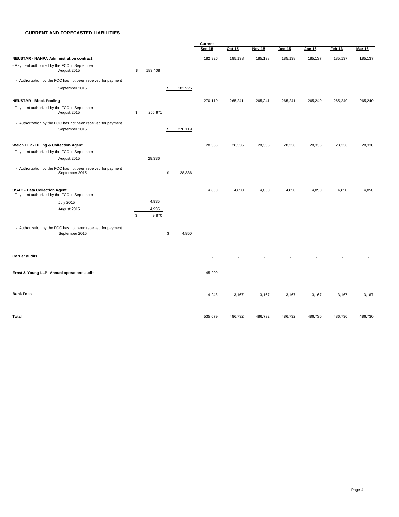#### **CURRENT AND FORECASTED LIABILITIES**

|                                                                                     |                      |               | Current       |         |               |               |         |         |         |
|-------------------------------------------------------------------------------------|----------------------|---------------|---------------|---------|---------------|---------------|---------|---------|---------|
|                                                                                     |                      |               | <b>Sep-15</b> | Oct-15  | <b>Nov-15</b> | <b>Dec-15</b> | Jan-16  | Feb-16  | Mar-16  |
| NEUSTAR - NANPA Administration contract                                             |                      |               | 182,926       | 185,138 | 185,138       | 185,138       | 185,137 | 185,137 | 185,137 |
| - Payment authorized by the FCC in September<br>August 2015                         | \$<br>183,408        |               |               |         |               |               |         |         |         |
| - Authorization by the FCC has not been received for payment                        |                      |               |               |         |               |               |         |         |         |
| September 2015                                                                      |                      | \$<br>182,926 |               |         |               |               |         |         |         |
| <b>NEUSTAR - Block Pooling</b>                                                      |                      |               | 270,119       | 265,241 | 265,241       | 265,241       | 265,240 | 265,240 | 265,240 |
| - Payment authorized by the FCC in September<br>August 2015                         | \$<br>266,971        |               |               |         |               |               |         |         |         |
| - Authorization by the FCC has not been received for payment<br>September 2015      |                      | \$<br>270,119 |               |         |               |               |         |         |         |
| Welch LLP - Billing & Collection Agent                                              |                      |               | 28,336        | 28,336  | 28,336        | 28,336        | 28,336  | 28,336  | 28,336  |
| - Payment authorized by the FCC in September                                        |                      |               |               |         |               |               |         |         |         |
| August 2015                                                                         | 28,336               |               |               |         |               |               |         |         |         |
| - Authorization by the FCC has not been received for payment<br>September 2015      |                      | \$<br>28,336  |               |         |               |               |         |         |         |
| <b>USAC - Data Collection Agent</b><br>- Payment authorized by the FCC in September |                      |               | 4,850         | 4,850   | 4,850         | 4,850         | 4,850   | 4,850   | 4,850   |
| <b>July 2015</b>                                                                    | 4,935                |               |               |         |               |               |         |         |         |
| August 2015                                                                         | \$<br>4,935<br>9,870 |               |               |         |               |               |         |         |         |
| - Authorization by the FCC has not been received for payment<br>September 2015      |                      | \$<br>4,850   |               |         |               |               |         |         |         |
| <b>Carrier audits</b>                                                               |                      |               |               |         |               |               |         |         |         |
| Ernst & Young LLP- Annual operations audit                                          |                      |               | 45,200        |         |               |               |         |         |         |
| <b>Bank Fees</b>                                                                    |                      |               | 4,248         | 3,167   | 3,167         | 3,167         | 3,167   | 3,167   | 3,167   |
| Total                                                                               |                      |               | 535,679       | 486,732 | 486,732       | 486,732       | 486,730 | 486,730 | 486,730 |